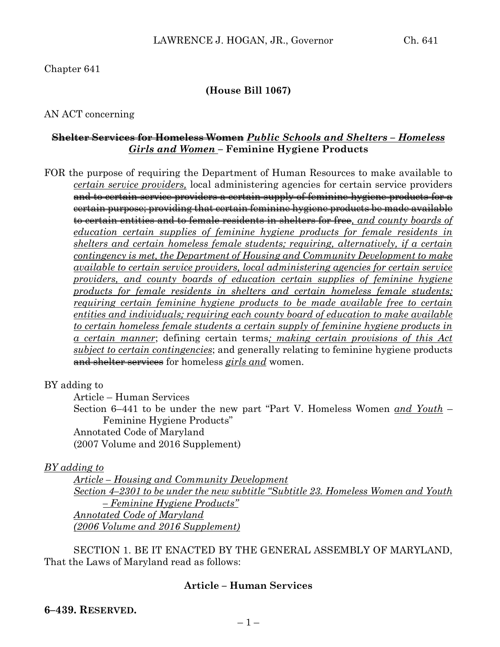# Chapter 641

# **(House Bill 1067)**

### AN ACT concerning

### **Shelter Services for Homeless Women** *Public Schools and Shelters – Homeless Girls and Women* **– Feminine Hygiene Products**

FOR the purpose of requiring the Department of Human Resources to make available to *certain service providers,* local administering agencies for certain service providers and to certain service providers a certain supply of feminine hygiene products for a certain purpose; providing that certain feminine hygiene products be made available to certain entities and to female residents in shelters for free*, and county boards of education certain supplies of feminine hygiene products for female residents in shelters and certain homeless female students; requiring, alternatively, if a certain contingency is met, the Department of Housing and Community Development to make available to certain service providers, local administering agencies for certain service providers, and county boards of education certain supplies of feminine hygiene products for female residents in shelters and certain homeless female students; requiring certain feminine hygiene products to be made available free to certain entities and individuals; requiring each county board of education to make available to certain homeless female students a certain supply of feminine hygiene products in a certain manner*; defining certain terms*; making certain provisions of this Act subject to certain contingencies*; and generally relating to feminine hygiene products and shelter services for homeless *girls and* women.

BY adding to

Article – Human Services

Section 6–441 to be under the new part "Part V. Homeless Women *and Youth* – Feminine Hygiene Products" Annotated Code of Maryland

(2007 Volume and 2016 Supplement)

#### *BY adding to*

*Article – Housing and Community Development Section 4–2301 to be under the new subtitle "Subtitle 23. Homeless Women and Youth – Feminine Hygiene Products" Annotated Code of Maryland (2006 Volume and 2016 Supplement)* 

SECTION 1. BE IT ENACTED BY THE GENERAL ASSEMBLY OF MARYLAND, That the Laws of Maryland read as follows:

### **Article – Human Services**

#### **6–439. RESERVED.**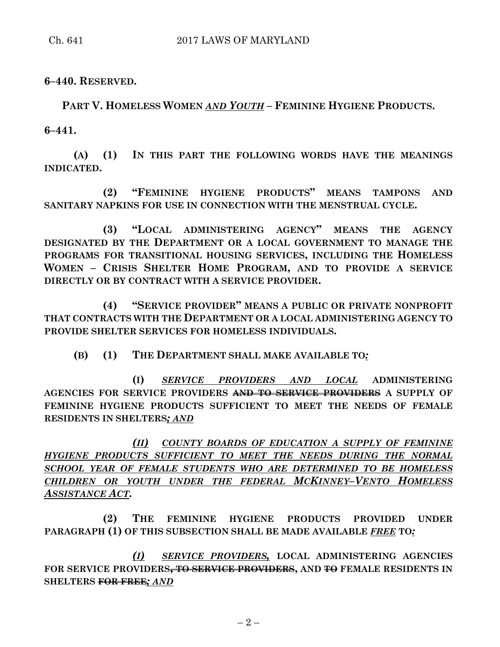**6–440. RESERVED.**

**PART V. HOMELESS WOMEN** *AND YOUTH* **– FEMININE HYGIENE PRODUCTS. 6–441.**

**(A) (1) IN THIS PART THE FOLLOWING WORDS HAVE THE MEANINGS INDICATED.**

**(2) "FEMININE HYGIENE PRODUCTS" MEANS TAMPONS AND SANITARY NAPKINS FOR USE IN CONNECTION WITH THE MENSTRUAL CYCLE.**

**(3) "LOCAL ADMINISTERING AGENCY" MEANS THE AGENCY DESIGNATED BY THE DEPARTMENT OR A LOCAL GOVERNMENT TO MANAGE THE PROGRAMS FOR TRANSITIONAL HOUSING SERVICES, INCLUDING THE HOMELESS WOMEN – CRISIS SHELTER HOME PROGRAM, AND TO PROVIDE A SERVICE DIRECTLY OR BY CONTRACT WITH A SERVICE PROVIDER.**

**(4) "SERVICE PROVIDER" MEANS A PUBLIC OR PRIVATE NONPROFIT THAT CONTRACTS WITH THE DEPARTMENT OR A LOCAL ADMINISTERING AGENCY TO PROVIDE SHELTER SERVICES FOR HOMELESS INDIVIDUALS.**

**(B) (1) THE DEPARTMENT SHALL MAKE AVAILABLE TO***:*

**(I)** *SERVICE PROVIDERS AND LOCAL* **ADMINISTERING AGENCIES FOR SERVICE PROVIDERS AND TO SERVICE PROVIDERS A SUPPLY OF FEMININE HYGIENE PRODUCTS SUFFICIENT TO MEET THE NEEDS OF FEMALE RESIDENTS IN SHELTERS***; AND*

*(II) COUNTY BOARDS OF EDUCATION A SUPPLY OF FEMININE HYGIENE PRODUCTS SUFFICIENT TO MEET THE NEEDS DURING THE NORMAL SCHOOL YEAR OF FEMALE STUDENTS WHO ARE DETERMINED TO BE HOMELESS CHILDREN OR YOUTH UNDER THE FEDERAL MCKINNEY–VENTO HOMELESS ASSISTANCE ACT.*

**(2) THE FEMININE HYGIENE PRODUCTS PROVIDED UNDER PARAGRAPH (1) OF THIS SUBSECTION SHALL BE MADE AVAILABLE** *FREE* **TO***:*

*(I) SERVICE PROVIDERS,* **LOCAL ADMINISTERING AGENCIES FOR SERVICE PROVIDERS, TO SERVICE PROVIDERS, AND TO FEMALE RESIDENTS IN SHELTERS FOR FREE***; AND*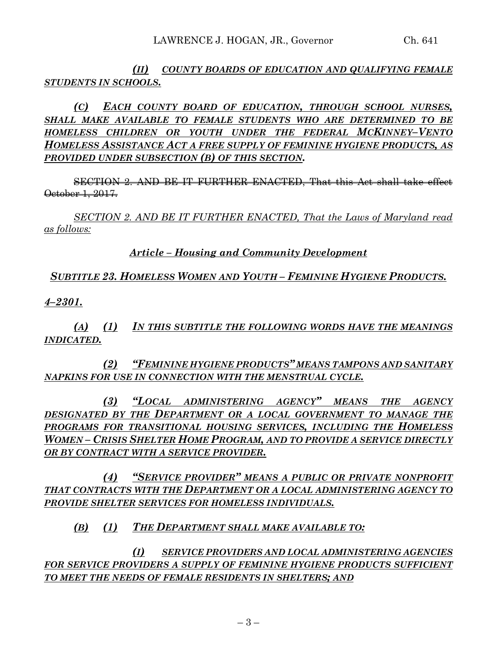*(II) COUNTY BOARDS OF EDUCATION AND QUALIFYING FEMALE STUDENTS IN SCHOOLS.*

*(C) EACH COUNTY BOARD OF EDUCATION, THROUGH SCHOOL NURSES, SHALL MAKE AVAILABLE TO FEMALE STUDENTS WHO ARE DETERMINED TO BE HOMELESS CHILDREN OR YOUTH UNDER THE FEDERAL MCKINNEY–VENTO HOMELESS ASSISTANCE ACT A FREE SUPPLY OF FEMININE HYGIENE PRODUCTS, AS PROVIDED UNDER SUBSECTION (B) OF THIS SECTION.*

SECTION 2. AND BE IT FURTHER ENACTED, That this Act shall take effect October 1, 2017.

*SECTION 2. AND BE IT FURTHER ENACTED, That the Laws of Maryland read as follows:*

*Article – Housing and Community Development*

# *SUBTITLE 23. HOMELESS WOMEN AND YOUTH – FEMININE HYGIENE PRODUCTS.*

*4–2301.*

*(A) (1) IN THIS SUBTITLE THE FOLLOWING WORDS HAVE THE MEANINGS INDICATED.*

*(2) "FEMININE HYGIENE PRODUCTS" MEANS TAMPONS AND SANITARY NAPKINS FOR USE IN CONNECTION WITH THE MENSTRUAL CYCLE.*

*(3) "LOCAL ADMINISTERING AGENCY" MEANS THE AGENCY DESIGNATED BY THE DEPARTMENT OR A LOCAL GOVERNMENT TO MANAGE THE PROGRAMS FOR TRANSITIONAL HOUSING SERVICES, INCLUDING THE HOMELESS WOMEN – CRISIS SHELTER HOME PROGRAM, AND TO PROVIDE A SERVICE DIRECTLY OR BY CONTRACT WITH A SERVICE PROVIDER.*

*(4) "SERVICE PROVIDER" MEANS A PUBLIC OR PRIVATE NONPROFIT THAT CONTRACTS WITH THE DEPARTMENT OR A LOCAL ADMINISTERING AGENCY TO PROVIDE SHELTER SERVICES FOR HOMELESS INDIVIDUALS.*

*(B) (1) THE DEPARTMENT SHALL MAKE AVAILABLE TO:*

*(I) SERVICE PROVIDERS AND LOCAL ADMINISTERING AGENCIES FOR SERVICE PROVIDERS A SUPPLY OF FEMININE HYGIENE PRODUCTS SUFFICIENT TO MEET THE NEEDS OF FEMALE RESIDENTS IN SHELTERS; AND*